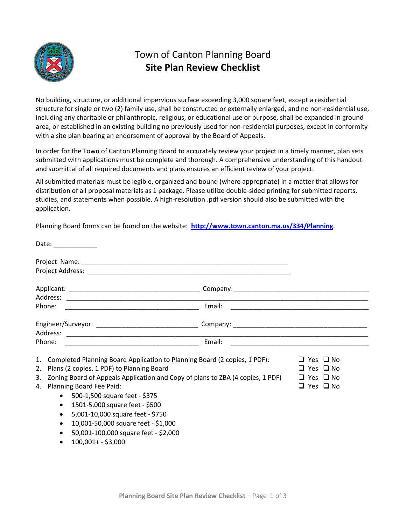

## Town of Canton Planning Board **Site Plan Review Checklist**

No building, structure, or additional impervious surface exceeding 3,000 square feet, except a residential structure for single or two (2) family use, shall be constructed or externally enlarged, and no non-residential use, including any charitable or philanthropic, religious, or educational use or purpose, shall be expanded in ground area, or established in an existing building no previously used for non-residential purposes, except in conformity with a site plan bearing an endorsement of approval by the Board of Appeals.

In order for the Town of Canton Planning Board to accurately review your project in a timely manner, plan sets submitted with applications must be complete and thorough. A comprehensive understanding of this handout and submittal of all required documents and plans ensures an efficient review of your project.

All submitted materials must be legible, organized and bound (where appropriate) in a matter that allows for distribution of all proposal materials as 1 package. Please utilize double-sided printing for submitted reports, studies, and statements when possible. A high-resolution .pdf version should also be submitted with the application.

Planning Board forms can be found on the website: **<http://www.town.canton.ma.us/334/Planning>**.

|    |           | Date: ______________                                                           |        |                                                                                                                      |
|----|-----------|--------------------------------------------------------------------------------|--------|----------------------------------------------------------------------------------------------------------------------|
|    |           |                                                                                |        |                                                                                                                      |
|    |           |                                                                                |        |                                                                                                                      |
|    |           |                                                                                |        |                                                                                                                      |
|    |           |                                                                                |        |                                                                                                                      |
|    | Phone:    |                                                                                | Email: | <u> 1989 - Johann John Stone, markin film yn y brenin y brenin y brenin y brenin y brenin y brenin y brenin y br</u> |
|    |           |                                                                                |        |                                                                                                                      |
|    |           |                                                                                |        |                                                                                                                      |
|    | Phone:    |                                                                                | Email: |                                                                                                                      |
| 1. |           | Completed Planning Board Application to Planning Board (2 copies, 1 PDF):      |        | $\sqcup$ Yes $\sqcup$ No                                                                                             |
| 2. |           | Plans (2 copies, 1 PDF) to Planning Board                                      |        | $\Box$ Yes $\Box$ No                                                                                                 |
| 3. |           | Zoning Board of Appeals Application and Copy of plans to ZBA (4 copies, 1 PDF) |        | $\Box$ Yes $\Box$ No                                                                                                 |
| 4. |           | Planning Board Fee Paid:                                                       |        | $\Box$ Yes $\Box$ No                                                                                                 |
|    | $\bullet$ | 500-1,500 square feet - \$375                                                  |        |                                                                                                                      |
|    | $\bullet$ | 1501-5,000 square feet - \$500                                                 |        |                                                                                                                      |
|    | $\bullet$ |                                                                                |        |                                                                                                                      |
|    |           | 5,001-10,000 square feet - \$750                                               |        |                                                                                                                      |
|    |           | 10,001-50,000 square feet - \$1,000                                            |        |                                                                                                                      |
|    |           | 50,001-100,000 square feet - \$2,000                                           |        |                                                                                                                      |
|    |           | 100,001+ - \$3,000                                                             |        |                                                                                                                      |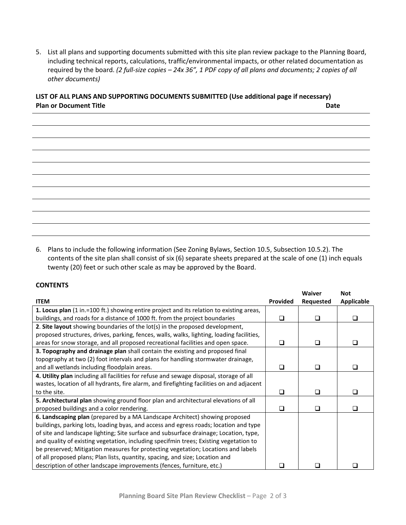5. List all plans and supporting documents submitted with this site plan review package to the Planning Board, including technical reports, calculations, traffic/environmental impacts, or other related documentation as required by the board. *(2 full-size copies – 24x 36", 1 PDF copy of all plans and documents; 2 copies of all other documents)*

## **LIST OF ALL PLANS AND SUPPORTING DOCUMENTS SUBMITTED (Use additional page if necessary) Plan or Document Title Date**

|                                                                       | 6. Plans to include the following information (See Zoning Bylaws, Section 10.5, Subsection 10.5.2). The         |
|-----------------------------------------------------------------------|-----------------------------------------------------------------------------------------------------------------|
|                                                                       | contents of the site plan shall consist of six (6) separate sheets prepared at the scale of one (1) inch equals |
| twenty (20) feet or such other scale as may be approved by the Board. |                                                                                                                 |

## **CONTENTS**

|                                                                                           |                 | <b>Waiver</b> | <b>Not</b>        |
|-------------------------------------------------------------------------------------------|-----------------|---------------|-------------------|
| <b>ITEM</b>                                                                               | <b>Provided</b> | Requested     | <b>Applicable</b> |
| 1. Locus plan (1 in.=100 ft.) showing entire project and its relation to existing areas,  |                 |               |                   |
| buildings, and roads for a distance of 1000 ft. from the project boundaries               | ❏               | ◻             | □                 |
| 2. Site layout showing boundaries of the lot(s) in the proposed development,              |                 |               |                   |
| proposed structures, drives, parking, fences, walls, walks, lighting, loading facilities, |                 |               |                   |
| areas for snow storage, and all proposed recreational facilities and open space.          | ❏               | ❏             |                   |
| 3. Topography and drainage plan shall contain the existing and proposed final             |                 |               |                   |
| topography at two (2) foot intervals and plans for handling stormwater drainage,          |                 |               |                   |
| and all wetlands including floodplain areas.                                              | ❏               | ◻             |                   |
| 4. Utility plan including all facilities for refuse and sewage disposal, storage of all   |                 |               |                   |
| wastes, location of all hydrants, fire alarm, and firefighting facilities on and adjacent |                 |               |                   |
| to the site.                                                                              | ❏               | ப             |                   |
| 5. Architectural plan showing ground floor plan and architectural elevations of all       |                 |               |                   |
| proposed buildings and a color rendering.                                                 | □               | ⊔             |                   |
| 6. Landscaping plan (prepared by a MA Landscape Architect) showing proposed               |                 |               |                   |
| buildings, parking lots, loading byas, and access and egress roads; location and type     |                 |               |                   |
| of site and landscape lighting; Site surface and subsurface drainage; Location, type,     |                 |               |                   |
| and quality of existing vegetation, including specifmin trees; Existing vegetation to     |                 |               |                   |
| be preserved; Mitigation measures for protecting vegetation; Locations and labels         |                 |               |                   |
| of all proposed plans; Plan lists, quantity, spacing, and size; Location and              |                 |               |                   |
| description of other landscape improvements (fences, furniture, etc.)                     |                 |               |                   |